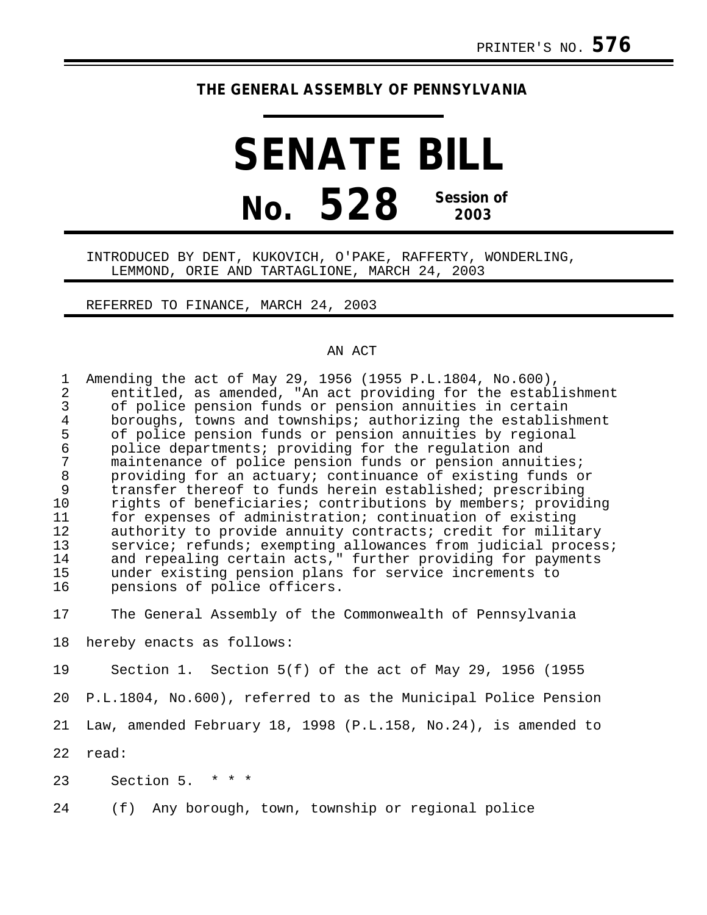## **THE GENERAL ASSEMBLY OF PENNSYLVANIA**

## **SENATE BILL No. 528 Session of 2003**

## INTRODUCED BY DENT, KUKOVICH, O'PAKE, RAFFERTY, WONDERLING, LEMMOND, ORIE AND TARTAGLIONE, MARCH 24, 2003

REFERRED TO FINANCE, MARCH 24, 2003

## AN ACT

|    | Amending the act of May 29, 1956 (1955 P.L.1804, No.600),<br>entitled, as amended, "An act providing for the establishment<br>of police pension funds or pension annuities in certain |
|----|---------------------------------------------------------------------------------------------------------------------------------------------------------------------------------------|
|    | boroughs, towns and townships; authorizing the establishment                                                                                                                          |
| 5  | of police pension funds or pension annuities by regional                                                                                                                              |
| 6  | police departments; providing for the regulation and                                                                                                                                  |
|    | maintenance of police pension funds or pension annuities;                                                                                                                             |
| 8  | providing for an actuary; continuance of existing funds or                                                                                                                            |
| 9  | transfer thereof to funds herein established; prescribing                                                                                                                             |
| 10 | rights of beneficiaries; contributions by members; providing                                                                                                                          |
| 11 | for expenses of administration; continuation of existing                                                                                                                              |
| 12 | authority to provide annuity contracts; credit for military                                                                                                                           |
| 13 | service; refunds; exempting allowances from judicial process;                                                                                                                         |
| 14 | and repealing certain acts," further providing for payments                                                                                                                           |
| 15 | under existing pension plans for service increments to                                                                                                                                |
| 16 | pensions of police officers.                                                                                                                                                          |
|    |                                                                                                                                                                                       |

17 The General Assembly of the Commonwealth of Pennsylvania

18 hereby enacts as follows:

19 Section 1. Section 5(f) of the act of May 29, 1956 (1955 20 P.L.1804, No.600), referred to as the Municipal Police Pension 21 Law, amended February 18, 1998 (P.L.158, No.24), is amended to 22 read:

23 Section 5. \* \* \*

24 (f) Any borough, town, township or regional police